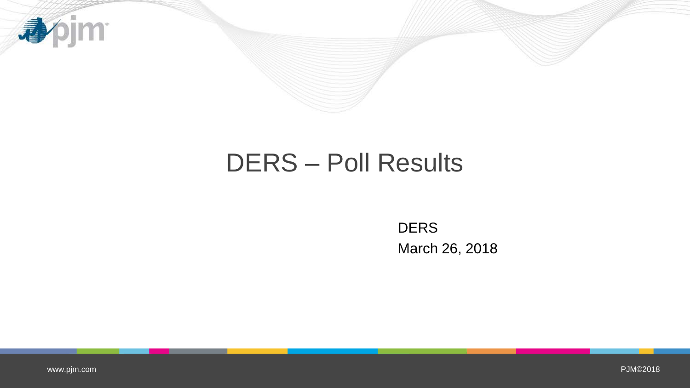

## DERS – Poll Results

**DERS** March 26, 2018

[www.pjm.com](http://www.pjm.com/)

PJM©2018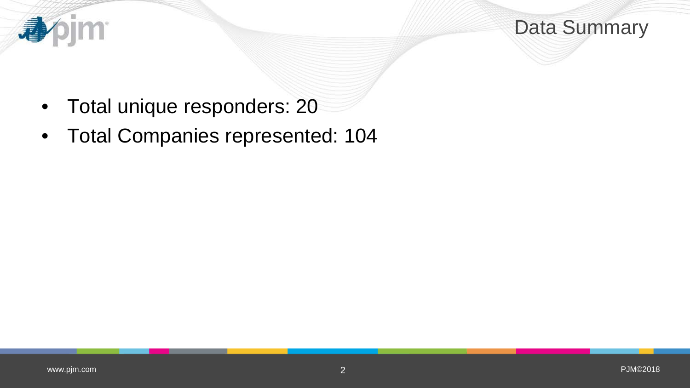

Data Summary

- Total unique responders: 20
- Total Companies represented: 104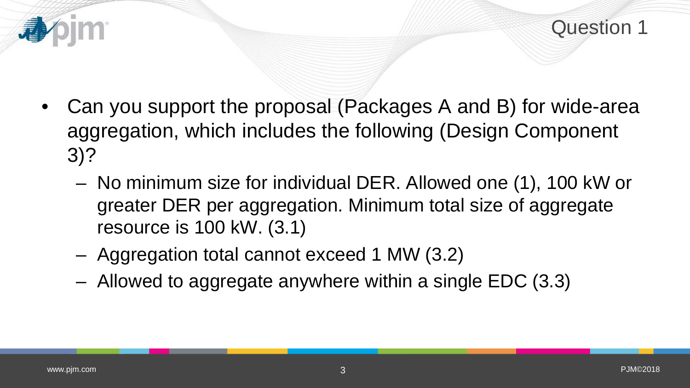

- Can you support the proposal (Packages A and B) for wide-area aggregation, which includes the following (Design Component 3)?
	- No minimum size for individual DER. Allowed one (1), 100 kW or greater DER per aggregation. Minimum total size of aggregate resource is 100 kW. (3.1)
	- Aggregation total cannot exceed 1 MW (3.2)
	- Allowed to aggregate anywhere within a single EDC (3.3)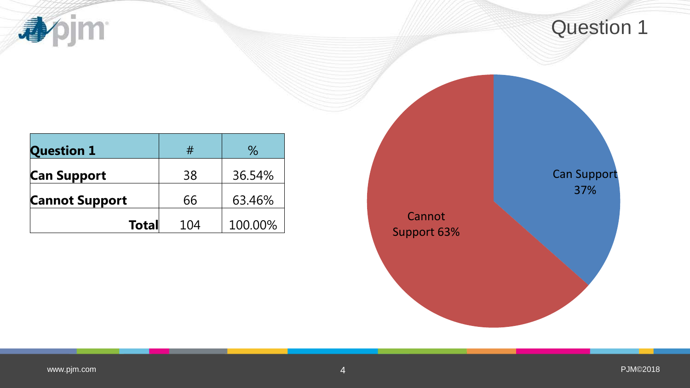**小门** 

| <b>Question 1</b>     | #   | ℅       |
|-----------------------|-----|---------|
| <b>Can Support</b>    | 38  | 36.54%  |
| <b>Cannot Support</b> | 66  | 63.46%  |
| <b>Total</b>          | 104 | 100.00% |

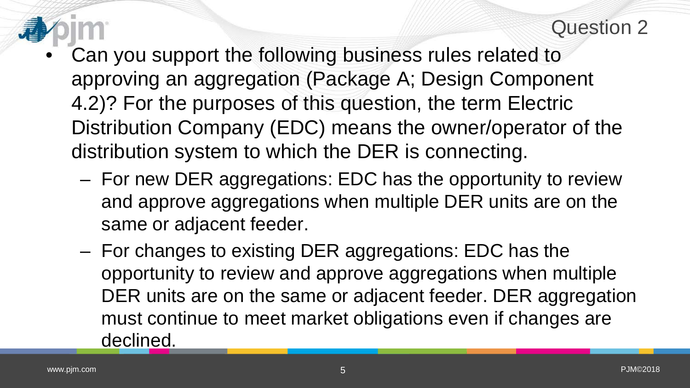- Can you support the following business rules related to approving an aggregation (Package A; Design Component 4.2)? For the purposes of this question, the term Electric Distribution Company (EDC) means the owner/operator of the distribution system to which the DER is connecting.
	- For new DER aggregations: EDC has the opportunity to review and approve aggregations when multiple DER units are on the same or adjacent feeder.
	- For changes to existing DER aggregations: EDC has the opportunity to review and approve aggregations when multiple DER units are on the same or adjacent feeder. DER aggregation must continue to meet market obligations even if changes are declined.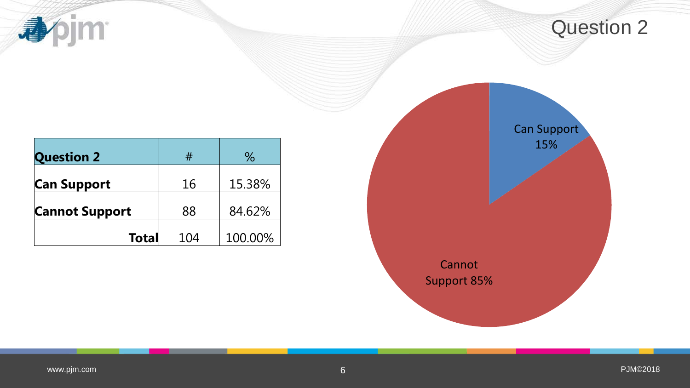**小门** 

| <b>Question 2</b>     | #   | ℅       |
|-----------------------|-----|---------|
| <b>Can Support</b>    | 16  | 15.38%  |
| <b>Cannot Support</b> | 88  | 84.62%  |
| <b>Total</b>          | 104 | 100.00% |

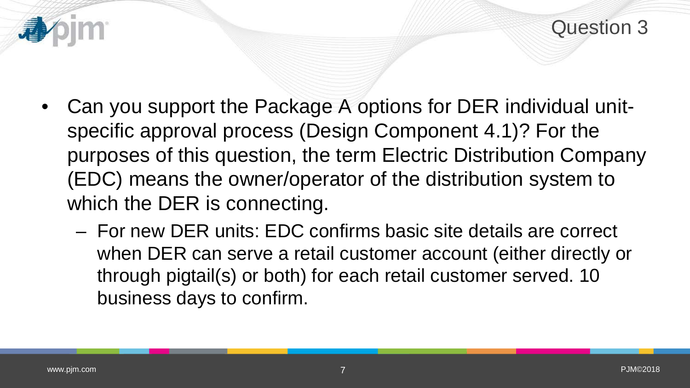- Can you support the Package A options for DER individual unitspecific approval process (Design Component 4.1)? For the purposes of this question, the term Electric Distribution Company (EDC) means the owner/operator of the distribution system to which the DER is connecting.
	- For new DER units: EDC confirms basic site details are correct when DER can serve a retail customer account (either directly or through pigtail(s) or both) for each retail customer served. 10 business days to confirm.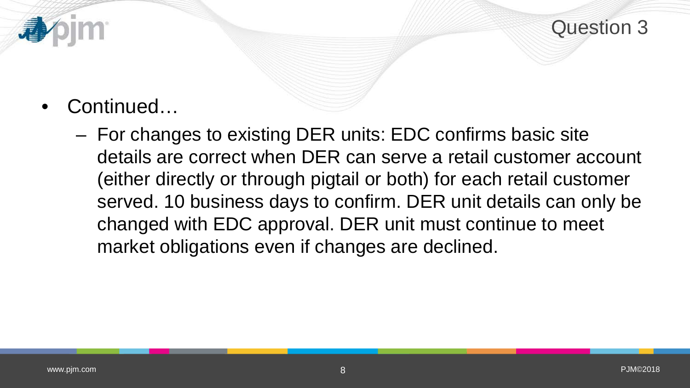

- Continued…
	- For changes to existing DER units: EDC confirms basic site details are correct when DER can serve a retail customer account (either directly or through pigtail or both) for each retail customer served. 10 business days to confirm. DER unit details can only be changed with EDC approval. DER unit must continue to meet market obligations even if changes are declined.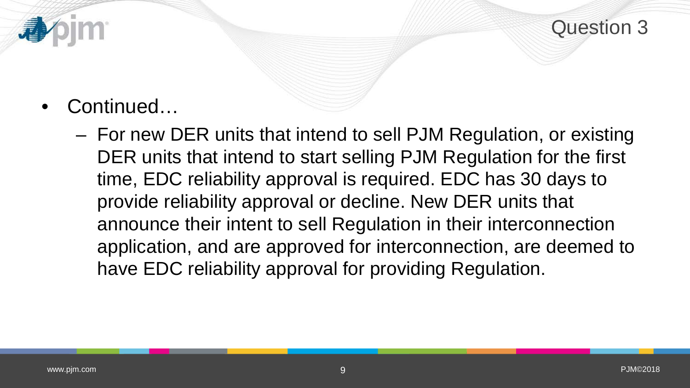

- Continued…
	- For new DER units that intend to sell PJM Regulation, or existing DER units that intend to start selling PJM Regulation for the first time, EDC reliability approval is required. EDC has 30 days to provide reliability approval or decline. New DER units that announce their intent to sell Regulation in their interconnection application, and are approved for interconnection, are deemed to have EDC reliability approval for providing Regulation.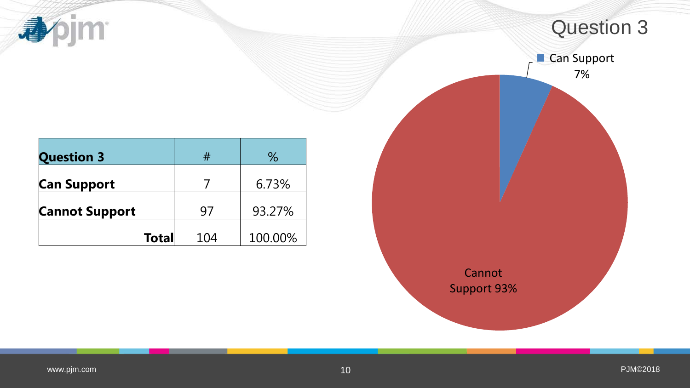**小小** 

|                              | <b>Question 3</b>        |  |
|------------------------------|--------------------------|--|
|                              | <b>Can Support</b><br>7% |  |
|                              |                          |  |
| Cannot<br><b>Support 93%</b> |                          |  |
|                              |                          |  |

| <b>Question 3</b>     | #   | $\%$    |
|-----------------------|-----|---------|
| <b>Can Support</b>    |     | 6.73%   |
| <b>Cannot Support</b> | 97  | 93.27%  |
| <b>Total</b>          | 104 | 100.00% |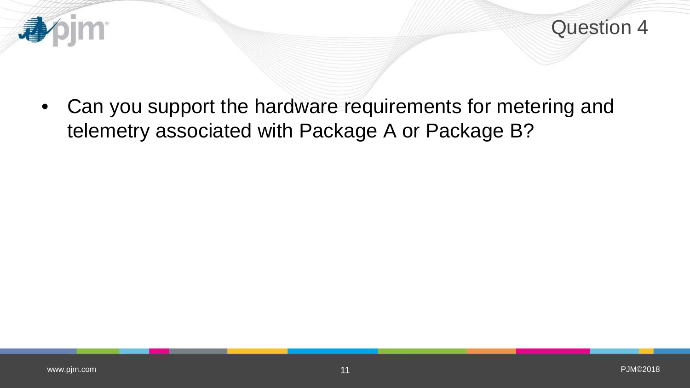

Question 4

• Can you support the hardware requirements for metering and telemetry associated with Package A or Package B?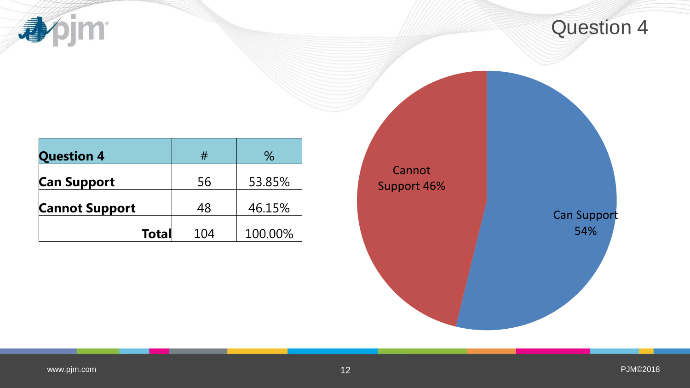apjm

| <b>Question 4</b>     | #   | $\%$    |
|-----------------------|-----|---------|
| <b>Can Support</b>    | 56  | 53.85%  |
| <b>Cannot Support</b> | 48  | 46.15%  |
| <b>Total</b>          | 104 | 100.00% |

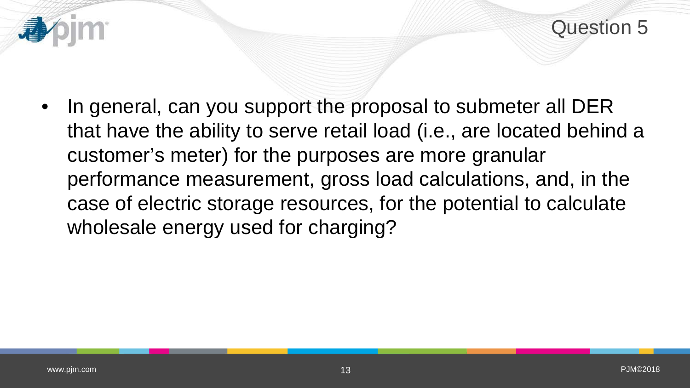

In general, can you support the proposal to submeter all DER that have the ability to serve retail load (i.e., are located behind a customer's meter) for the purposes are more granular performance measurement, gross load calculations, and, in the case of electric storage resources, for the potential to calculate wholesale energy used for charging?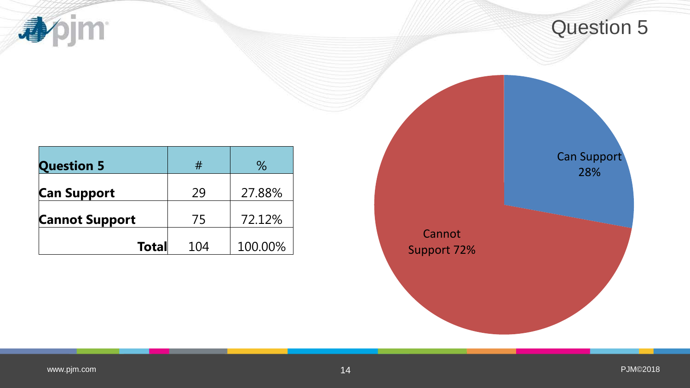apjm

| <b>Question 5</b>     | #   | $\%$    |
|-----------------------|-----|---------|
| <b>Can Support</b>    | 29  | 27.88%  |
| <b>Cannot Support</b> | 75  | 72.12%  |
| <b>Total</b>          | 104 | 100.00% |

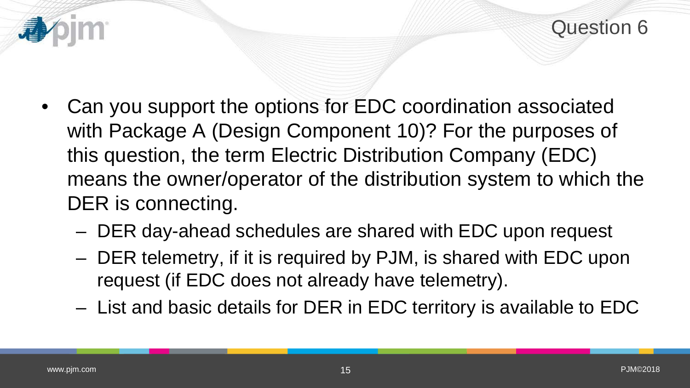

- Can you support the options for EDC coordination associated with Package A (Design Component 10)? For the purposes of this question, the term Electric Distribution Company (EDC) means the owner/operator of the distribution system to which the DER is connecting.
	- DER day-ahead schedules are shared with EDC upon request
	- DER telemetry, if it is required by PJM, is shared with EDC upon request (if EDC does not already have telemetry).
	- List and basic details for DER in EDC territory is available to EDC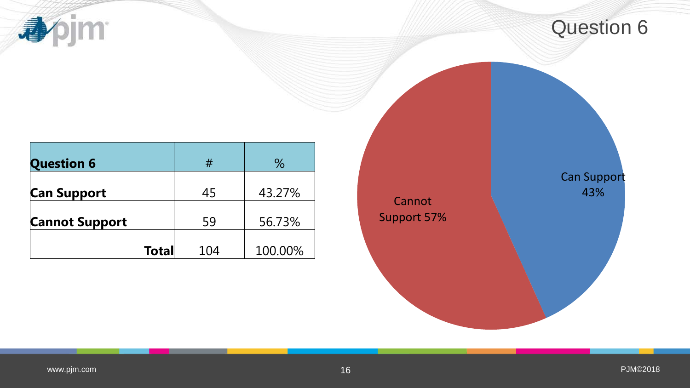**appim** 

| <b>Question 6</b>     | #   | $\%$    |
|-----------------------|-----|---------|
| <b>Can Support</b>    | 45  | 43.27%  |
| <b>Cannot Support</b> | 59  | 56.73%  |
| <b>Total</b>          | 104 | 100.00% |

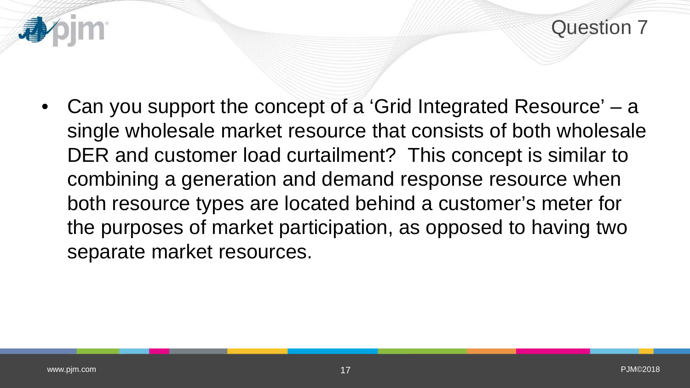Question 7

• Can you support the concept of a 'Grid Integrated Resource' – a single wholesale market resource that consists of both wholesale DER and customer load curtailment? This concept is similar to combining a generation and demand response resource when both resource types are located behind a customer's meter for the purposes of market participation, as opposed to having two separate market resources.